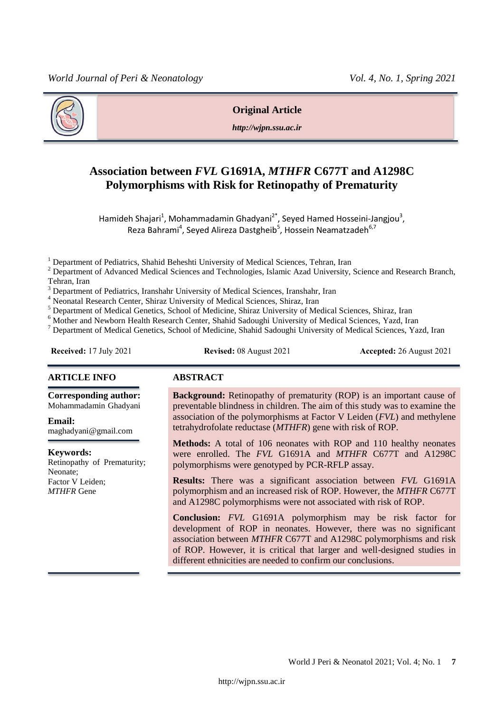

#### **Original Article**

*http://wjpn.ssu.ac.ir*

# **Association between** *FVL* **G1691A,** *MTHFR* **C677T and A1298C Polymorphisms with Risk for Retinopathy of Prematurity**

Hamideh Shajari<sup>1</sup>, Mohammadamin Ghadyani<sup>2\*</sup>, Seyed Hamed Hosseini-Jangjou<sup>3</sup>, Reza Bahrami<sup>4</sup>, Seyed Alireza Dastgheib<sup>5</sup>, Hossein Neamatzadeh<sup>6,7</sup>

<sup>1</sup> Department of Pediatrics, Shahid Beheshti University of Medical Sciences, Tehran, Iran

<sup>2</sup> Department of Advanced Medical Sciences and Technologies, Islamic Azad University, Science and Research Branch, Tehran, Iran

<sup>3</sup> Department of Pediatrics, Iranshahr University of Medical Sciences, Iranshahr, Iran

<sup>4</sup> Neonatal Research Center, Shiraz University of Medical Sciences, Shiraz, Iran

<sup>5</sup> Department of Medical Genetics, School of Medicine, Shiraz University of Medical Sciences, Shiraz, Iran

<sup>6</sup> Mother and Newborn Health Research Center, Shahid Sadoughi University of Medical Sciences, Yazd, Iran

<sup>7</sup> Department of Medical Genetics, School of Medicine, Shahid Sadoughi University of Medical Sciences, Yazd, Iran

**Received:** 17 July 2021 **Revised:** 08 August 2021 **Accepted:** 26 August 2021

#### **ARTICLE INFO ABSTRACT**

**Corresponding author:**

Mohammadamin Ghadyani

**Email:**  maghadyani@gmail.com

**Keywords:**  Retinopathy of Prematurity; Neonate; Factor V Leiden; *MTHFR* Gene

**Background:** Retinopathy of prematurity (ROP) is an important cause of preventable blindness in children. The aim of this study was to examine the association of the polymorphisms at Factor V Leiden (*FVL*) and methylene tetrahydrofolate reductase (*MTHFR*) gene with risk of ROP.

**Methods:** A total of 106 neonates with ROP and 110 healthy neonates were enrolled. The *FVL* G1691A and *MTHFR* C677T and A1298C polymorphisms were genotyped by PCR-RFLP assay.

**Results:** There was a significant association between *FVL* G1691A polymorphism and an increased risk of ROP. However, the *MTHFR* C677T and A1298C polymorphisms were not associated with risk of ROP.

**Conclusion:** *FVL* G1691A polymorphism may be risk factor for development of ROP in neonates. However, there was no significant association between *MTHFR* C677T and A1298C polymorphisms and risk of ROP. However, it is critical that larger and well-designed studies in different ethnicities are needed to confirm our conclusions.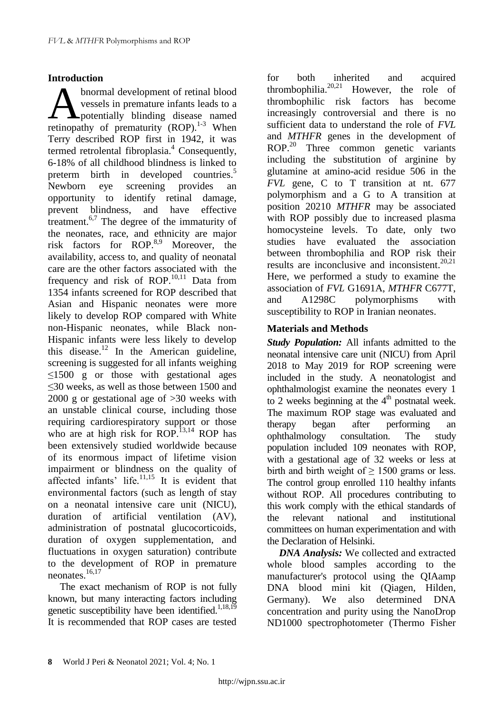## **Introduction**

bnormal development of retinal blood vessels in premature infants leads to a **A**potentially blinding disease named **A** bnormal development of retinal blood vessels in premature infants leads to a potentially blinding disease named retinopathy of prematurity (ROP).<sup>1-3</sup> When Terry described ROP first in 1942, it was termed retrolental fibroplasia. <sup>4</sup> Consequently, 6-18% of all childhood blindness is linked to preterm birth in developed countries.<sup>5</sup> Newborn eye screening provides an opportunity to identify retinal damage, prevent blindness, and have effective treatment.<sup>6,7</sup> The degree of the immaturity of the neonates, race, and ethnicity are major risk factors for ROP.<sup>8,9</sup> Moreover, the availability, access to, and quality of neonatal care are the other factors associated with the frequency and risk of ROP.<sup>10,11</sup> Data from 1354 infants screened for ROP described that Asian and Hispanic neonates were more likely to develop ROP compared with White non-Hispanic neonates, while Black non-Hispanic infants were less likely to develop this disease.<sup>12</sup> In the American guideline, screening is suggested for all infants weighing  $\leq 1500$  g or those with gestational ages ≤30 weeks, as well as those between 1500 and 2000 g or gestational age of >30 weeks with an unstable clinical course, including those requiring cardiorespiratory support or those who are at high risk for ROP.<sup>13,14</sup> ROP has been extensively studied worldwide because of its enormous impact of lifetime vision impairment or blindness on the quality of affected infants' life. $11,15$  It is evident that environmental factors (such as length of stay on a neonatal intensive care unit (NICU), duration of artificial ventilation (AV), administration of postnatal glucocorticoids, duration of oxygen supplementation, and fluctuations in oxygen saturation) contribute to the development of ROP in premature neonates. 16,17

The exact mechanism of ROP is not fully known, but many interacting factors including genetic susceptibility have been identified.<sup>1,18,19</sup> It is recommended that ROP cases are tested

for both inherited and acquired thrombophilia. $20,21$  However, the role of thrombophilic risk factors has become increasingly controversial and there is no sufficient data to understand the role of *FVL* and *MTHFR* genes in the development of ROP.<sup>20</sup> Three common genetic variants including the substitution of arginine by glutamine at amino-acid residue 506 in the *FVL* gene, C to T transition at nt. 677 polymorphism and a G to A transition at position 20210 *MTHFR* may be associated with ROP possibly due to increased plasma homocysteine levels. To date, only two studies have evaluated the association between thrombophilia and ROP risk their results are inconclusive and inconsistent. 20,21 Here, we performed a study to examine the association of *FVL* G1691A, *MTHFR* C677T, and A1298C polymorphisms with susceptibility to ROP in Iranian neonates.

## **Materials and Methods**

*Study Population:* All infants admitted to the neonatal intensive care unit (NICU) from April 2018 to May 2019 for ROP screening were included in the study. A neonatologist and ophthalmologist examine the neonates every 1 to 2 weeks beginning at the  $4<sup>th</sup>$  postnatal week. The maximum ROP stage was evaluated and therapy began after performing an ophthalmology consultation. The study population included 109 neonates with ROP, with a gestational age of 32 weeks or less at birth and birth weight of  $\geq$  1500 grams or less. The control group enrolled 110 healthy infants without ROP. All procedures contributing to this work comply with the ethical standards of the relevant national and institutional committees on human experimentation and with the Declaration of Helsinki.

*DNA Analysis:* We collected and extracted whole blood samples according to the manufacturer's protocol using the QIAamp DNA blood mini kit (Qiagen, Hilden, Germany). We also determined DNA concentration and purity using the NanoDrop ND1000 spectrophotometer (Thermo Fisher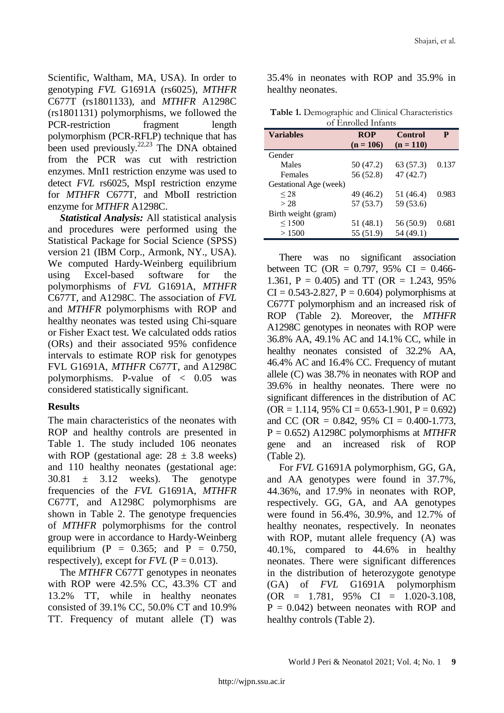Scientific, Waltham, MA, USA). In order to genotyping *FVL* G1691A (rs6025), *MTHFR* C677T (rs1801133), and *MTHFR* A1298C (rs1801131) polymorphisms, we followed the PCR-restriction fragment length polymorphism (PCR-RFLP) technique that has been used previously.<sup>22,23</sup> The DNA obtained from the PCR was cut with restriction enzymes. MnI1 restriction enzyme was used to detect *FVL* rs6025, MspI restriction enzyme for *MTHFR* C677T, and MboII restriction enzyme for *MTHFR* A1298C.

*Statistical Analysis:* All statistical analysis and procedures were performed using the Statistical Package for Social Science (SPSS) version 21 (IBM Corp., Armonk, NY., USA). We computed Hardy-Weinberg equilibrium using Excel-based software for the polymorphisms of *FVL* G1691A, *MTHFR* C677T, and A1298C. The association of *FVL* and *MTHFR* polymorphisms with ROP and healthy neonates was tested using Chi-square or Fisher Exact test. We calculated odds ratios (ORs) and their associated 95% confidence intervals to estimate ROP risk for genotypes FVL G1691A, *MTHFR* C677T, and A1298C polymorphisms. P-value of < 0.05 was considered statistically significant.

#### **Results**

The main characteristics of the neonates with ROP and healthy controls are presented in Table 1. The study included 106 neonates with ROP (gestational age:  $28 \pm 3.8$  weeks) and 110 healthy neonates (gestational age:  $30.81 \pm 3.12$  weeks). The genotype frequencies of the *FVL* G1691A, *MTHFR* C677T, and A1298C polymorphisms are shown in Table 2. The genotype frequencies of *MTHFR* polymorphisms for the control group were in accordance to Hardy-Weinberg equilibrium (P =  $0.365$ ; and P =  $0.750$ , respectively), except for  $FVL$  ( $P = 0.013$ ).

The *MTHFR* C677T genotypes in neonates with ROP were 42.5% CC, 43.3% CT and 13.2% TT, while in healthy neonates consisted of 39.1% CC, 50.0% CT and 10.9% TT. Frequency of mutant allele (T) was

35.4% in neonates with ROP and 35.9% in healthy neonates.

**Table 1.** Demographic and Clinical Characteristics of Enrolled Infants

| <b>Variables</b>       | <b>ROP</b>  | Control     | P     |  |  |  |  |
|------------------------|-------------|-------------|-------|--|--|--|--|
|                        | $(n = 106)$ | $(n = 110)$ |       |  |  |  |  |
| Gender                 |             |             |       |  |  |  |  |
| Males                  | 50 (47.2)   | 63 (57.3)   | 0.137 |  |  |  |  |
| Females                | 56 (52.8)   | 47 (42.7)   |       |  |  |  |  |
| Gestational Age (week) |             |             |       |  |  |  |  |
| $\leq$ 28              | 49 (46.2)   | 51 (46.4)   | 0.983 |  |  |  |  |
| > 28                   | 57 (53.7)   | 59 (53.6)   |       |  |  |  |  |
| Birth weight (gram)    |             |             |       |  |  |  |  |
| $\leq 1500$            | 51 (48.1)   | 56 (50.9)   | 0.681 |  |  |  |  |
| >1500                  | 55 (51.9)   | 54 (49.1)   |       |  |  |  |  |
|                        |             |             |       |  |  |  |  |

There was no significant association between TC (OR =  $0.797$ , 95% CI = 0.466-1.361,  $P = 0.405$  and TT (OR = 1.243, 95%)  $CI = 0.543 - 2.827$ ,  $P = 0.604$ ) polymorphisms at C677T polymorphism and an increased risk of ROP (Table 2). Moreover, the *MTHFR* A1298C genotypes in neonates with ROP were 36.8% AA, 49.1% AC and 14.1% CC, while in healthy neonates consisted of 32.2% AA, 46.4% AC and 16.4% CC. Frequency of mutant allele (C) was 38.7% in neonates with ROP and 39.6% in healthy neonates. There were no significant differences in the distribution of AC  $(OR = 1.114, 95\% \text{ CI} = 0.653 - 1.901, P = 0.692)$ and CC (OR =  $0.842$ , 95% CI =  $0.400 - 1.773$ , P = 0.652) A1298C polymorphisms at *MTHFR* gene and an increased risk of ROP (Table 2).

For *FVL* G1691A polymorphism, GG, GA, and AA genotypes were found in 37.7%, 44.36%, and 17.9% in neonates with ROP, respectively. GG, GA, and AA genotypes were found in 56.4%, 30.9%, and 12.7% of healthy neonates, respectively. In neonates with ROP, mutant allele frequency (A) was 40.1%, compared to 44.6% in healthy neonates. There were significant differences in the distribution of heterozygote genotype (GA) of *FVL* G1691A polymorphism  $(OR = 1.781, 95\% \text{ CI} = 1.020-3.108,$  $P = 0.042$ ) between neonates with ROP and healthy controls (Table 2).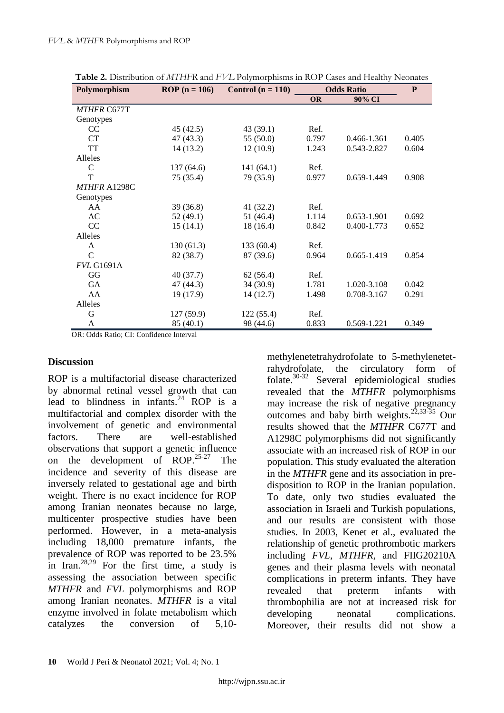| Polymorphism       | ROP $(n = 106)$ | Control $(n = 110)$ | <b>Odds Ratio</b> |             | P     |
|--------------------|-----------------|---------------------|-------------------|-------------|-------|
|                    |                 |                     | <b>OR</b>         | 90% CI      |       |
| <b>MTHFR C677T</b> |                 |                     |                   |             |       |
| Genotypes          |                 |                     |                   |             |       |
| CC                 | 45(42.5)        | 43 (39.1)           | Ref.              |             |       |
| CT                 | 47 (43.3)       | 55(50.0)            | 0.797             | 0.466-1.361 | 0.405 |
| TT                 | 14(13.2)        | 12(10.9)            | 1.243             | 0.543-2.827 | 0.604 |
| Alleles            |                 |                     |                   |             |       |
| $\mathcal{C}$      | 137 (64.6)      | 141(64.1)           | Ref.              |             |       |
| T                  | 75 (35.4)       | 79 (35.9)           | 0.977             | 0.659-1.449 | 0.908 |
| MTHFR A1298C       |                 |                     |                   |             |       |
| Genotypes          |                 |                     |                   |             |       |
| AA                 | 39(36.8)        | 41(32.2)            | Ref.              |             |       |
| AC                 | 52 (49.1)       | 51 (46.4)           | 1.114             | 0.653-1.901 | 0.692 |
| CC                 | 15(14.1)        | 18(16.4)            | 0.842             | 0.400-1.773 | 0.652 |
| Alleles            |                 |                     |                   |             |       |
| A                  | 130(61.3)       | 133 (60.4)          | Ref.              |             |       |
| $\mathcal{C}$      | 82 (38.7)       | 87 (39.6)           | 0.964             | 0.665-1.419 | 0.854 |
| <b>FVL G1691A</b>  |                 |                     |                   |             |       |
| GG                 | 40 (37.7)       | 62(56.4)            | Ref.              |             |       |
| GA                 | 47 (44.3)       | 34 (30.9)           | 1.781             | 1.020-3.108 | 0.042 |
| AA                 | 19 (17.9)       | 14(12.7)            | 1.498             | 0.708-3.167 | 0.291 |
| Alleles            |                 |                     |                   |             |       |
| G                  | 127 (59.9)      | 122(55.4)           | Ref.              |             |       |
| A                  | 85 (40.1)       | 98 (44.6)           | 0.833             | 0.569-1.221 | 0.349 |

**Table 2.** Distribution of *MTHFR* and *FVL* Polymorphisms in ROP Cases and Healthy Neonates

OR: Odds Ratio; CI: Confidence Interval

### **Discussion**

ROP is a multifactorial disease characterized by abnormal retinal vessel growth that can lead to blindness in infants. <sup>24</sup> ROP is a multifactorial and complex disorder with the involvement of genetic and environmental factors. There are well-established observations that support a genetic influence on the development of ROP. 25-27 The incidence and severity of this disease are inversely related to gestational age and birth weight. There is no exact incidence for ROP among Iranian neonates because no large, multicenter prospective studies have been performed. However, in a meta-analysis including 18,000 premature infants, the prevalence of ROP was reported to be 23.5% in Iran.<sup>28,29</sup> For the first time, a study is assessing the association between specific *MTHFR* and *FVL* polymorphisms and ROP among Iranian neonates. *MTHFR* is a vital enzyme involved in folate metabolism which catalyzes the conversion of 5,10methylenetetrahydrofolate to 5-methylenetetrahydrofolate, the circulatory form of folate. 30-32 Several epidemiological studies revealed that the *MTHFR* polymorphisms may increase the risk of negative pregnancy outcomes and baby birth weights.<sup>22,33-35</sup> Our results showed that the *MTHFR* C677T and A1298C polymorphisms did not significantly associate with an increased risk of ROP in our population. This study evaluated the alteration in the *MTHFR* gene and its association in predisposition to ROP in the Iranian population. To date, only two studies evaluated the association in Israeli and Turkish populations, and our results are consistent with those studies. In 2003, Kenet et al., evaluated the relationship of genetic prothrombotic markers including *FVL*, *MTHFR*, and FIIG20210A genes and their plasma levels with neonatal complications in preterm infants. They have revealed that preterm infants with thrombophilia are not at increased risk for developing neonatal complications. Moreover, their results did not show a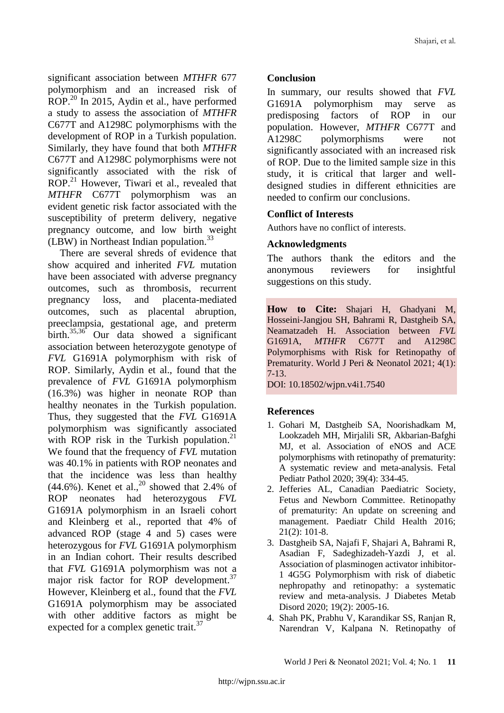significant association between *MTHFR* 677 polymorphism and an increased risk of ROP.<sup>20</sup> In 2015, Aydin et al., have performed a study to assess the association of *MTHFR* C677T and A1298C polymorphisms with the development of ROP in a Turkish population. Similarly, they have found that both *MTHFR* C677T and A1298C polymorphisms were not significantly associated with the risk of ROP.<sup>21</sup> However, Tiwari et al., revealed that *MTHFR* C677T polymorphism was an evident genetic risk factor associated with the susceptibility of preterm delivery, negative pregnancy outcome, and low birth weight (LBW) in Northeast Indian population.<sup>33</sup>

There are several shreds of evidence that show acquired and inherited *FVL* mutation have been associated with adverse pregnancy outcomes, such as thrombosis, recurrent pregnancy loss, and placenta-mediated outcomes, such as placental abruption, preeclampsia, gestational age, and preterm birth. 35,36 Our data showed a significant association between heterozygote genotype of *FVL* G1691A polymorphism with risk of ROP. Similarly, Aydin et al., found that the prevalence of *FVL* G1691A polymorphism (16.3%) was higher in neonate ROP than healthy neonates in the Turkish population. Thus, they suggested that the *FVL* G1691A polymorphism was significantly associated with ROP risk in the Turkish population.<sup>21</sup> We found that the frequency of *FVL* mutation was 40.1% in patients with ROP neonates and that the incidence was less than healthy  $(44.6\%)$ . Kenet et al.,<sup>20</sup> showed that 2.4% of ROP neonates had heterozygous *FVL* G1691A polymorphism in an Israeli cohort and Kleinberg et al., reported that 4% of advanced ROP (stage 4 and 5) cases were heterozygous for *FVL* G1691A polymorphism in an Indian cohort. Their results described that *FVL* G1691A polymorphism was not a major risk factor for ROP development.<sup>37</sup> However, Kleinberg et al., found that the *FVL* G1691A polymorphism may be associated with other additive factors as might be expected for a complex genetic trait.<sup>37</sup>

## **Conclusion**

In summary, our results showed that *FVL* G1691A polymorphism may serve as predisposing factors of ROP in our population. However, *MTHFR* C677T and A1298C polymorphisms were not significantly associated with an increased risk of ROP. Due to the limited sample size in this study, it is critical that larger and welldesigned studies in different ethnicities are needed to confirm our conclusions.

## **Conflict of Interests**

Authors have no conflict of interests.

#### **Acknowledgments**

The authors thank the editors and the anonymous reviewers for insightful suggestions on this study.

**How to Cite:** Shajari H, Ghadyani M, Hosseini-Jangjou SH, Bahrami R, Dastgheib SA, Neamatzadeh H. Association between *FVL* G1691A, *MTHFR* C677T and A1298C Polymorphisms with Risk for Retinopathy of Prematurity. World J Peri & Neonatol 2021; 4(1): 7-13.

DOI: 10.18502/wjpn.v4i1.7540

#### **References**

- 1. Gohari M, Dastgheib SA, Noorishadkam M, Lookzadeh MH, Mirjalili SR, Akbarian-Bafghi MJ, et al. Association of eNOS and ACE polymorphisms with retinopathy of prematurity: A systematic review and meta-analysis. Fetal Pediatr Pathol 2020; 39(4): 334-45.
- 2. Jefferies AL, Canadian Paediatric Society, Fetus and Newborn Committee. Retinopathy of prematurity: An update on screening and management. Paediatr Child Health 2016; 21(2): 101-8.
- 3. Dastgheib SA, Najafi F, Shajari A, Bahrami R, Asadian F, Sadeghizadeh-Yazdi J, et al. Association of plasminogen activator inhibitor-1 4G5G Polymorphism with risk of diabetic nephropathy and retinopathy: a systematic review and meta-analysis. J Diabetes Metab Disord 2020; 19(2): 2005-16.
- 4. Shah PK, Prabhu V, Karandikar SS, Ranjan R, Narendran V, Kalpana N. Retinopathy of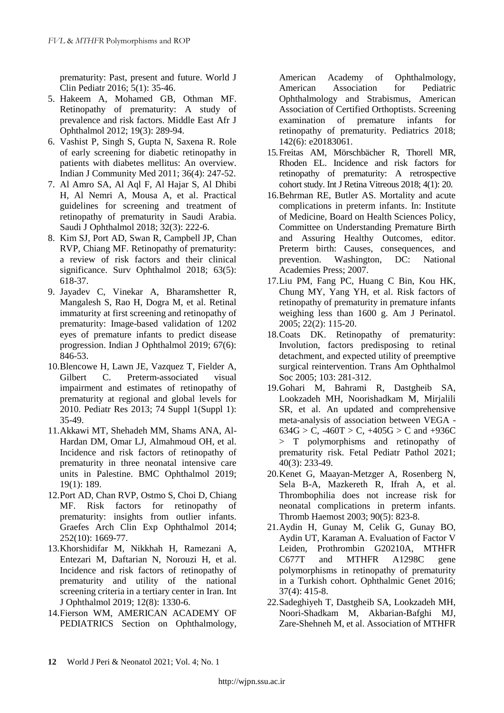prematurity: Past, present and future. World J Clin Pediatr 2016; 5(1): 35-46.

- 5. Hakeem A, Mohamed GB, Othman MF. Retinopathy of prematurity: A study of prevalence and risk factors. Middle East Afr J Ophthalmol 2012; 19(3): 289-94.
- 6. Vashist P, Singh S, Gupta N, Saxena R. Role of early screening for diabetic retinopathy in patients with diabetes mellitus: An overview. Indian J Community Med 2011; 36(4): 247-52.
- 7. Al Amro SA, Al Aql F, Al Hajar S, Al Dhibi H, Al Nemri A, Mousa A, et al. Practical guidelines for screening and treatment of retinopathy of prematurity in Saudi Arabia. Saudi J Ophthalmol 2018; 32(3): 222-6.
- 8. Kim SJ, Port AD, Swan R, Campbell JP, Chan RVP, Chiang MF. Retinopathy of prematurity: a review of risk factors and their clinical significance. Surv Ophthalmol 2018; 63(5): 618-37.
- 9. Jayadev C, Vinekar A, Bharamshetter R, Mangalesh S, Rao H, Dogra M, et al. Retinal immaturity at first screening and retinopathy of prematurity: Image-based validation of 1202 eyes of premature infants to predict disease progression. Indian J Ophthalmol 2019; 67(6): 846-53.
- 10.Blencowe H, Lawn JE, Vazquez T, Fielder A, Gilbert C. Preterm-associated visual impairment and estimates of retinopathy of prematurity at regional and global levels for 2010. Pediatr Res 2013; 74 Suppl 1(Suppl 1): 35-49.
- 11.Akkawi MT, Shehadeh MM, Shams ANA, Al-Hardan DM, Omar LJ, Almahmoud OH, et al. Incidence and risk factors of retinopathy of prematurity in three neonatal intensive care units in Palestine. BMC Ophthalmol 2019; 19(1): 189.
- 12.Port AD, Chan RVP, Ostmo S, Choi D, Chiang MF. Risk factors for retinopathy of prematurity: insights from outlier infants. Graefes Arch Clin Exp Ophthalmol 2014; 252(10): 1669-77.
- 13.Khorshidifar M, Nikkhah H, Ramezani A, Entezari M, Daftarian N, Norouzi H, et al. Incidence and risk factors of retinopathy of prematurity and utility of the national screening criteria in a tertiary center in Iran. Int J Ophthalmol 2019; 12(8): 1330-6.
- 14.Fierson WM, AMERICAN ACADEMY OF PEDIATRICS Section on Ophthalmology,

American Academy of Ophthalmology, American Association for Pediatric Ophthalmology and Strabismus, American Association of Certified Orthoptists. Screening examination of premature infants for retinopathy of prematurity. Pediatrics 2018; 142(6): e20183061.

- 15.Freitas AM, Mörschbächer R, Thorell MR, Rhoden EL. Incidence and risk factors for retinopathy of prematurity: A retrospective cohort study. Int J Retina Vitreous 2018; 4(1): 20.
- 16.Behrman RE, Butler AS. Mortality and acute complications in preterm infants. In: Institute of Medicine, Board on Health Sciences Policy, Committee on Understanding Premature Birth and Assuring Healthy Outcomes, editor. Preterm birth: Causes, consequences, and prevention. Washington, DC: National Academies Press; 2007.
- 17.Liu PM, Fang PC, Huang C Bin, Kou HK, Chung MY, Yang YH, et al. Risk factors of retinopathy of prematurity in premature infants weighing less than 1600 g. Am J Perinatol. 2005; 22(2): 115-20.
- 18.Coats DK. Retinopathy of prematurity: Involution, factors predisposing to retinal detachment, and expected utility of preemptive surgical reintervention. Trans Am Ophthalmol Soc 2005; 103: 281-312.
- 19.Gohari M, Bahrami R, Dastgheib SA, Lookzadeh MH, Noorishadkam M, Mirjalili SR, et al. An updated and comprehensive meta-analysis of association between VEGA -  $634G > C$ ,  $-460T > C$ ,  $+405G > C$  and  $+936C$ > T polymorphisms and retinopathy of prematurity risk. Fetal Pediatr Pathol 2021; 40(3): 233-49.
- 20.Kenet G, Maayan-Metzger A, Rosenberg N, Sela B-A, Mazkereth R, Ifrah A, et al. Thrombophilia does not increase risk for neonatal complications in preterm infants. Thromb Haemost 2003; 90(5): 823-8.
- 21.Aydin H, Gunay M, Celik G, Gunay BO, Aydin UT, Karaman A. Evaluation of Factor V Leiden, Prothrombin G20210A, MTHFR C677T and MTHFR A1298C gene polymorphisms in retinopathy of prematurity in a Turkish cohort. Ophthalmic Genet 2016; 37(4): 415-8.
- 22.Sadeghiyeh T, Dastgheib SA, Lookzadeh MH, Noori-Shadkam M, Akbarian-Bafghi MJ, Zare-Shehneh M, et al. Association of MTHFR